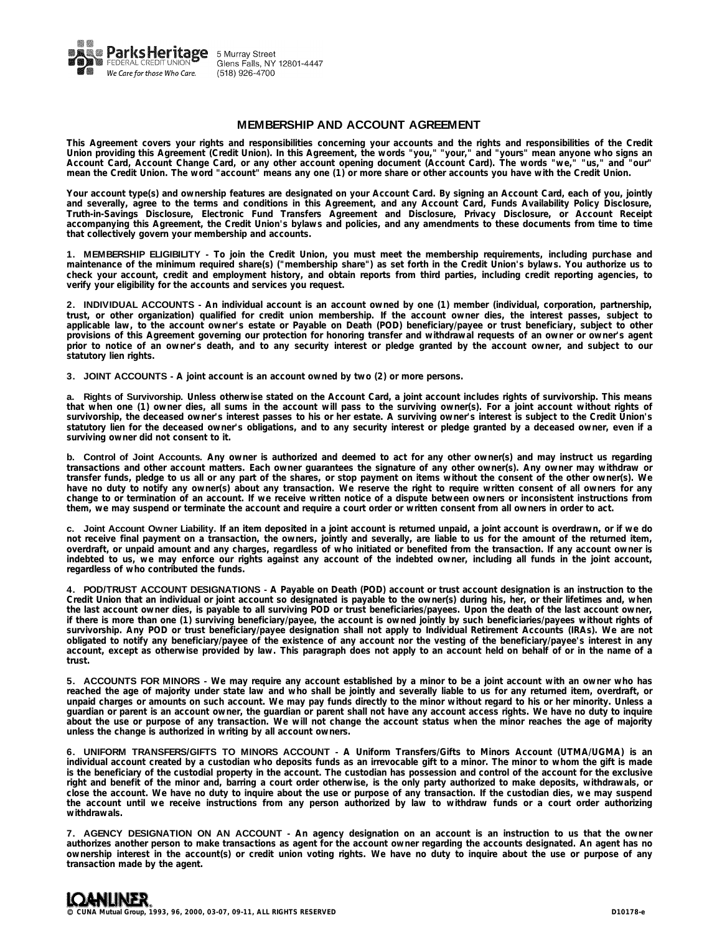

# **MEMBERSHIP AND ACCOUNT AGREEMENT**

This Agreement covers your rights and responsibilities concerning your accounts and the rights and responsibilities of the Credit Union providing this Agreement (Credit Union). In this Agreement, the words "you," "your," and "yours" mean anyone who signs an Account Card, Account Change Card, or any other account opening document (Account Card). The words "we," "us," and "our" **mean the Credit Union. The word "account" means any one (1) or more share or other accounts you have with the Credit Union.**

Your account type(s) and ownership features are designated on your Account Card. By signing an Account Card, each of you, jointly and severally, agree to the terms and conditions in this Agreement, and any Account Card, Funds Availability Policy Disclosure, **Truth-in-Savings Disclosure, Electronic Fund Transfers Agreement and Disclosure, Privacy Disclosure, or Account Receipt** accompanying this Agreement, the Credit Union's bylaws and policies, and any amendments to these documents from time to time **that collectively govern your membership and accounts.**

1. MEMBERSHIP ELIGIBILITY – To join the Credit Union, you must meet the membership requirements, including purchase and maintenance of the minimum required share(s) ("membership share") as set forth in the Credit Union's bylaws. You authorize us to check your account, credit and employment history, and obtain reports from third parties, including credit reporting agencies, to **verify your eligibility for the accounts and services you request.**

2. INDIVIDUAL ACCOUNTS - An individual account is an account owned by one (1) member (individual, corporation, partnership, trust, or other organization) qualified for credit union membership. If the account owner dies, the interest passes, subject to applicable law, to the account owner's estate or Payable on Death (POD) beneficiary/payee or trust beneficiary, subject to other provisions of this Agreement governing our protection for honoring transfer and withdrawal requests of an owner or owner's agent prior to notice of an owner's death, and to any security interest or pledge granted by the account owner, and subject to our **statutory lien rights.**

**3. JOINT ACCOUNTS - A joint account is an account owned by two (2) or more persons.**

a. Rights of Survivorship. Unless otherwise stated on the Account Card, a joint account includes rights of survivorship. This means that when one (1) owner dies, all sums in the account will pass to the surviving owner(s). For a joint account without rights of survivorship, the deceased owner's interest passes to his or her estate. A surviving owner's interest is subject to the Credit Union's statutory lien for the deceased owner's obligations, and to any security interest or pledge granted by a deceased owner, even if a **surviving owner did not consent to it.**

b. Control of Joint Accounts. Any owner is authorized and deemed to act for any other owner(s) and may instruct us regarding transactions and other account matters. Each owner guarantees the signature of any other owner(s). Any owner may withdraw or transfer funds, pledge to us all or any part of the shares, or stop payment on items without the consent of the other owner(s). We have no duty to notify any owner(s) about any transaction. We reserve the right to require written consent of all owners for any change to or termination of an account. If we receive written notice of a dispute between owners or inconsistent instructions from **them, we may suspend or terminate the account and require a court order or written consent from all owners in order to act.**

c. Joint Account Owner Liability. If an item deposited in a joint account is returned unpaid, a joint account is overdrawn, or if we do not receive final payment on a transaction, the owners, jointly and severally, are liable to us for the amount of the returned item, overdraft, or unpaid amount and any charges, regardless of who initiated or benefited from the transaction. If any account owner is indebted to us, we may enforce our rights against any account of the indebted owner, including all funds in the joint account, **regardless of who contributed the funds.**

4. POD/TRUST ACCOUNT DESIGNATIONS - A Payable on Death (POD) account or trust account designation is an instruction to the Credit Union that an individual or joint account so designated is payable to the owner(s) during his, her, or their lifetimes and, when the last account owner dies, is payable to all surviving POD or trust beneficiaries/payees. Upon the death of the last account owner, if there is more than one (1) surviving beneficiary/payee, the account is owned jointly by such beneficiaries/payees without rights of survivorship. Any POD or trust beneficiary/payee designation shall not apply to Individual Retirement Accounts (IRAs). We are not obligated to notify any beneficiary/payee of the existence of any account nor the vesting of the beneficiary/payee's interest in any account, except as otherwise provided by law. This paragraph does not apply to an account held on behalf of or in the name of a **trust.**

5. ACCOUNTS FOR MINORS - We may require any account established by a minor to be a joint account with an owner who has reached the age of majority under state law and who shall be jointly and severally liable to us for any returned item, overdraft, or unpaid charges or amounts on such account. We may pay funds directly to the minor without regard to his or her minority. Unless a guardian or parent is an account owner, the guardian or parent shall not have any account access rights. We have no duty to inquire about the use or purpose of any transaction. We will not change the account status when the minor reaches the age of majority **unless the change is authorized in writing by all account owners.**

**6. UNIFORM TRANSFERS/GIFTS TO MINORS ACCOUNT - A Uniform Transfers/Gifts to Minors Account (UTMA/UGMA) is an** individual account created by a custodian who deposits funds as an irrevocable gift to a minor. The minor to whom the gift is made is the beneficiary of the custodial property in the account. The custodian has possession and control of the account for the exclusive right and benefit of the minor and, barring a court order otherwise, is the only party authorized to make deposits, withdrawals, or close the account. We have no duty to inquire about the use or purpose of any transaction. If the custodian dies, we may suspend the account until we receive instructions from any person authorized by law to withdraw funds or a court order authorizing **withdrawals.**

7. AGENCY DESIGNATION ON AN ACCOUNT - An agency designation on an account is an instruction to us that the owner authorizes another person to make transactions as agent for the account owner regarding the accounts designated. An agent has no ownership interest in the account(s) or credit union voting rights. We have no duty to inquire about the use or purpose of any **transaction made by the agent.**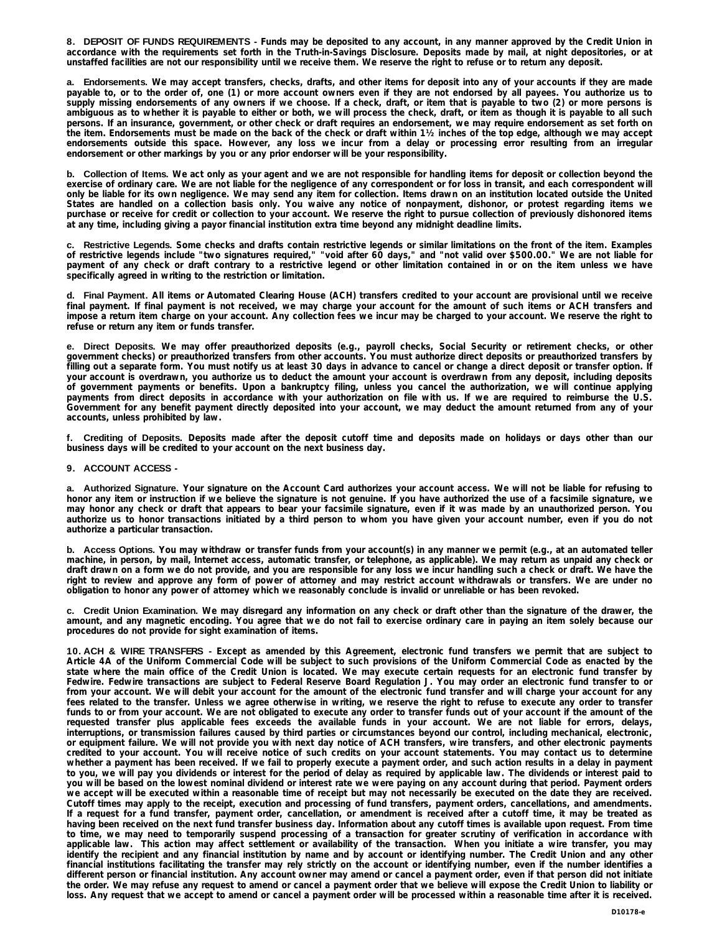8. DEPOSIT OF FUNDS REQUIREMENTS - Funds may be deposited to any account, in any manner approved by the Credit Union in accordance with the requirements set forth in the Truth-in-Savings Disclosure. Deposits made by mail, at night depositories, or at **unstaffed facilities are not our responsibility until we receive them. We reserve the right to refuse or to return any deposit.**

a. Endorsements. We may accept transfers, checks, drafts, and other items for deposit into any of your accounts if they are made payable to, or to the order of, one (1) or more account owners even if they are not endorsed by all payees. You authorize us to supply missing endorsements of any owners if we choose. If a check, draft, or item that is payable to two (2) or more persons is ambiguous as to whether it is payable to either or both, we will process the check, draft, or item as though it is payable to all such persons. If an insurance, government, or other check or draft requires an endorsement, we may require endorsement as set forth on the item. Endorsements must be made on the back of the check or draft within 11/2 inches of the top edge, although we may accept endorsements outside this space. However, any loss we incur from a delay or processing error resulting from an irregular **endorsement or other markings by you or any prior endorser will be your responsibility.**

**b. Collection of Items.** We act only as your agent and we are not responsible for handling items for deposit or collection beyond the exercise of ordinary care. We are not liable for the negligence of any correspondent or for loss in transit, and each correspondent will only be liable for its own negligence. We may send any item for collection. Items drawn on an institution located outside the United States are handled on a collection basis only. You waive any notice of nonpayment, dishonor, or protest regarding items we purchase or receive for credit or collection to your account. We reserve the right to pursue collection of previously dishonored items **at any time, including giving a payor financial institution extra time beyond any midnight deadline limits.**

c. Restrictive Legends. Some checks and drafts contain restrictive legends or similar limitations on the front of the item. Examples of restrictive legends include "two signatures required," "void after 60 days," and "not valid over \$500.00." We are not liable for payment of any check or draft contrary to a restrictive legend or other limitation contained in or on the item unless we have **specifically agreed in writing to the restriction or limitation.**

d. Final Payment. All items or Automated Clearing House (ACH) transfers credited to your account are provisional until we receive final payment. If final payment is not received, we may charge your account for the amount of such items or ACH transfers and impose a return item charge on your account. Any collection fees we incur may be charged to your account. We reserve the right to **refuse or return any item or funds transfer.**

e. Direct Deposits. We may offer preauthorized deposits (e.g., payroll checks, Social Security or retirement checks, or other government checks) or preauthorized transfers from other accounts. You must authorize direct deposits or preauthorized transfers by filling out a separate form. You must notify us at least 30 days in advance to cancel or change a direct deposit or transfer option. If your account is overdrawn, you authorize us to deduct the amount your account is overdrawn from any deposit, including deposits of government payments or benefits. Upon a bankruptcy filing, unless you cancel the authorization, we will continue applying payments from direct deposits in accordance with your authorization on file with us. If we are required to reimburse the U.S. Government for any benefit payment directly deposited into your account, we may deduct the amount returned from any of your **accounts, unless prohibited by law.**

f. Crediting of Deposits. Deposits made after the deposit cutoff time and deposits made on holidays or days other than our **business days will be credited to your account on the next business day.**

## **9. ACCOUNT ACCESS -**

a. Authorized Signature. Your signature on the Account Card authorizes your account access. We will not be liable for refusing to honor any item or instruction if we believe the signature is not genuine. If you have authorized the use of a facsimile signature, we may honor any check or draft that appears to bear your facsimile signature, even if it was made by an unauthorized person. You authorize us to honor transactions initiated by a third person to whom you have given your account number, even if you do not **authorize a particular transaction.**

b. Access Options. You may withdraw or transfer funds from your account(s) in any manner we permit (e.g., at an automated teller machine, in person, by mail, Internet access, automatic transfer, or telephone, as applicable). We may return as unpaid any check or draft drawn on a form we do not provide, and you are responsible for any loss we incur handling such a check or draft. We have the right to review and approve any form of power of attorney and may restrict account withdrawals or transfers. We are under no **obligation to honor any power of attorney which we reasonably conclude is invalid or unreliable or has been revoked.**

c. Credit Union Examination. We may disregard any information on any check or draft other than the signature of the drawer, the amount, and any magnetic encoding. You agree that we do not fail to exercise ordinary care in paying an item solely because our **procedures do not provide for sight examination of items.**

10. ACH & WIRE TRANSFERS - Except as amended by this Agreement, electronic fund transfers we permit that are subject to Article 4A of the Uniform Commercial Code will be subject to such provisions of the Uniform Commercial Code as enacted by the state where the main office of the Credit Union is located. We may execute certain requests for an electronic fund transfer by Fedwire. Fedwire transactions are subject to Federal Reserve Board Regulation J. You may order an electronic fund transfer to or from your account. We will debit your account for the amount of the electronic fund transfer and will charge your account for any fees related to the transfer. Unless we agree otherwise in writing, we reserve the right to refuse to execute any order to transfer funds to or from your account. We are not obligated to execute any order to transfer funds out of your account if the amount of the requested transfer plus applicable fees exceeds the available funds in your account. We are not liable for errors, delays, interruptions, or transmission failures caused by third parties or circumstances beyond our control, including mechanical, electronic, or equipment failure. We will not provide you with next day notice of ACH transfers, wire transfers, and other electronic payments credited to your account. You will receive notice of such credits on your account statements. You may contact us to determine whether a payment has been received. If we fail to properly execute a payment order, and such action results in a delay in payment to you, we will pay you dividends or interest for the period of delay as required by applicable law. The dividends or interest paid to you will be based on the lowest nominal dividend or interest rate we were paying on any account during that period. Payment orders we accept will be executed within a reasonable time of receipt but may not necessarily be executed on the date they are received. Cutoff times may apply to the receipt, execution and processing of fund transfers, payment orders, cancellations, and amendments. If a request for a fund transfer, payment order, cancellation, or amendment is received after a cutoff time, it may be treated as having been received on the next fund transfer business day. Information about any cutoff times is available upon request. From time to time, we may need to temporarily suspend processing of a transaction for greater scrutiny of verification in accordance with applicable law. This action may affect settlement or availability of the transaction. When you initiate a wire transfer, you may identify the recipient and any financial institution by name and by account or identifying number. The Credit Union and any other financial institutions facilitating the transfer may rely strictly on the account or identifying number, even if the number identifies a different person or financial institution. Any account owner may amend or cancel a payment order, even if that person did not initiate the order. We may refuse any request to amend or cancel a payment order that we believe will expose the Credit Union to liability or loss. Any request that we accept to amend or cancel a payment order will be processed within a reasonable time after it is received.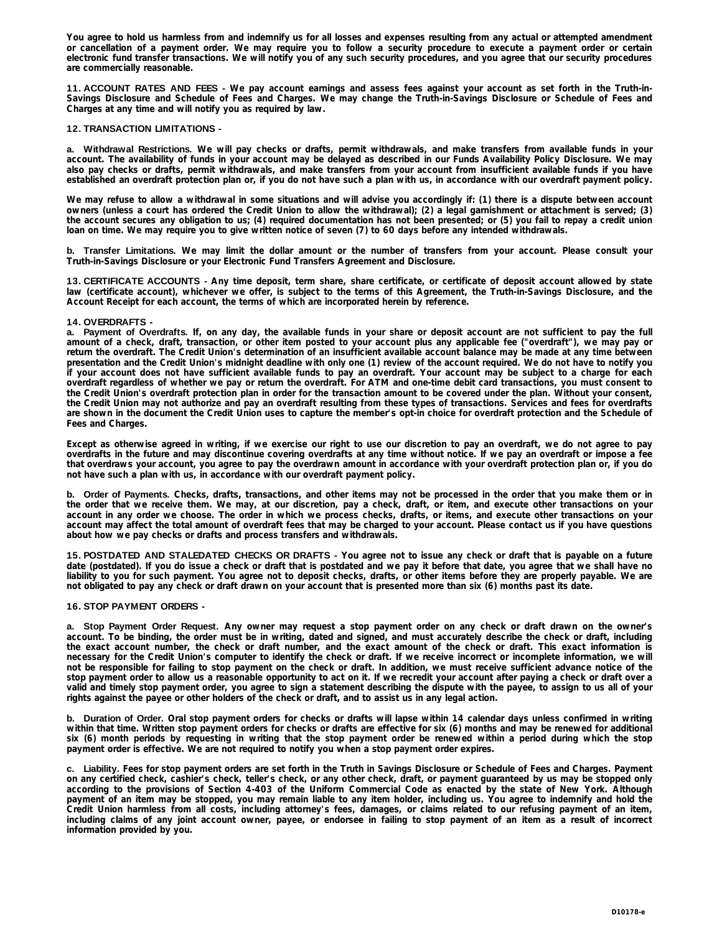You agree to hold us harmless from and indemnify us for all losses and expenses resulting from any actual or attempted amendment or cancellation of a payment order. We may require you to follow a security procedure to execute a payment order or certain electronic fund transfer transactions. We will notify you of any such security procedures, and you agree that our security procedures **are commercially reasonable.**

11. ACCOUNT RATES AND FEES - We pay account earnings and assess fees against your account as set forth in the Truth-in-Savings Disclosure and Schedule of Fees and Charges. We may change the Truth-in-Savings Disclosure or Schedule of Fees and **Charges at any time and will notify you as required by law.**

## **12. TRANSACTION LIMITATIONS -**

a. Withdrawal Restrictions. We will pay checks or drafts, permit withdrawals, and make transfers from available funds in your account. The availability of funds in your account may be delayed as described in our Funds Availability Policy Disclosure. We may also pay checks or drafts, permit withdrawals, and make transfers from your account from insufficient available funds if you have established an overdraft protection plan or, if you do not have such a plan with us, in accordance with our overdraft payment policy.

We may refuse to allow a withdrawal in some situations and will advise you accordingly if: (1) there is a dispute between account owners (unless a court has ordered the Credit Union to allow the withdrawal); (2) a legal garnishment or attachment is served; (3) the account secures any obligation to us; (4) required documentation has not been presented; or (5) you fail to repay a credit union **loan on time. We may require you to give written notice of seven (7) to 60 days before any intended withdrawals.**

b. Transfer Limitations. We may limit the dollar amount or the number of transfers from your account. Please consult your **Truth-in-Savings Disclosure or your Electronic Fund Transfers Agreement and Disclosure.**

13. CERTIFICATE ACCOUNTS - Any time deposit, term share, share certificate, or certificate of deposit account allowed by state law (certificate account), whichever we offer, is subject to the terms of this Agreement, the Truth-in-Savings Disclosure, and the **Account Receipt for each account, the terms of which are incorporated herein by reference.**

## **14. OVERDRAFTS -**

a. Payment of Overdrafts. If, on any day, the available funds in your share or deposit account are not sufficient to pay the full amount of a check, draft, transaction, or other item posted to your account plus any applicable fee ("overdraft"), we may pay or return the overdraft. The Credit Union's determination of an insufficient available account balance may be made at any time between presentation and the Credit Union's midnight deadline with only one (1) review of the account required. We do not have to notify you if your account does not have sufficient available funds to pay an overdraft. Your account may be subject to a charge for each overdraft regardless of whether we pay or return the overdraft. For ATM and one-time debit card transactions, you must consent to the Credit Union's overdraft protection plan in order for the transaction amount to be covered under the plan. Without your consent, the Credit Union may not authorize and pay an overdraft resulting from these types of transactions. Services and fees for overdrafts are shown in the document the Credit Union uses to capture the member's opt-in choice for overdraft protection and the Schedule of **Fees and Charges.** 

Except as otherwise agreed in writing, if we exercise our right to use our discretion to pay an overdraft, we do not agree to pay overdrafts in the future and may discontinue covering overdrafts at any time without notice. If we pay an overdraft or impose a fee that overdraws your account, you agree to pay the overdrawn amount in accordance with your overdraft protection plan or, if you do **not have such a plan with us, in accordance with our overdraft payment policy.**

b. Order of Payments. Checks, drafts, transactions, and other items may not be processed in the order that you make them or in the order that we receive them. We may, at our discretion, pay a check, draft, or item, and execute other transactions on your account in any order we choose. The order in which we process checks, drafts, or items, and execute other transactions on your account may affect the total amount of overdraft fees that may be charged to your account. Please contact us if you have questions **about how we pay checks or drafts and process transfers and withdrawals.**

15. POSTDATED AND STALEDATED CHECKS OR DRAFTS - You agree not to issue any check or draft that is payable on a future date (postdated). If you do issue a check or draft that is postdated and we pay it before that date, you agree that we shall have no liability to you for such payment. You agree not to deposit checks, drafts, or other items before they are properly payable. We are **not obligated to pay any check or draft drawn on your account that is presented more than six (6) months past its date.**

#### **16. STOP PAYMENT ORDERS -**

a. Stop Payment Order Request. Any owner may request a stop payment order on any check or draft drawn on the owner's account. To be binding, the order must be in writing, dated and signed, and must accurately describe the check or draft, including the exact account number, the check or draft number, and the exact amount of the check or draft. This exact information is necessary for the Credit Union's computer to identify the check or draft. If we receive incorrect or incomplete information, we will not be responsible for failing to stop payment on the check or draft. In addition, we must receive sufficient advance notice of the stop payment order to allow us a reasonable opportunity to act on it. If we recredit your account after paying a check or draft over a valid and timely stop payment order, you agree to sign a statement describing the dispute with the payee, to assign to us all of your **rights against the payee or other holders of the check or draft, and to assist us in any legal action.**

b. Duration of Order. Oral stop payment orders for checks or drafts will lapse within 14 calendar days unless confirmed in writing within that time. Written stop payment orders for checks or drafts are effective for six (6) months and may be renewed for additional six (6) month periods by requesting in writing that the stop payment order be renewed within a period during which the stop **payment order is effective. We are not required to notify you when a stop payment order expires.**

c. Liability. Fees for stop payment orders are set forth in the Truth in Savings Disclosure or Schedule of Fees and Charges. Payment on any certified check, cashier's check, teller's check, or any other check, draft, or payment guaranteed by us may be stopped only according to the provisions of Section 4-403 of the Uniform Commercial Code as enacted by the state of New York. Although payment of an item may be stopped, you may remain liable to any item holder, including us. You agree to indemnify and hold the Credit Union harmless from all costs, including attorney's fees, damages, or claims related to our refusing payment of an item, including claims of any joint account owner, payee, or endorsee in failing to stop payment of an item as a result of incorrect **information provided by you.**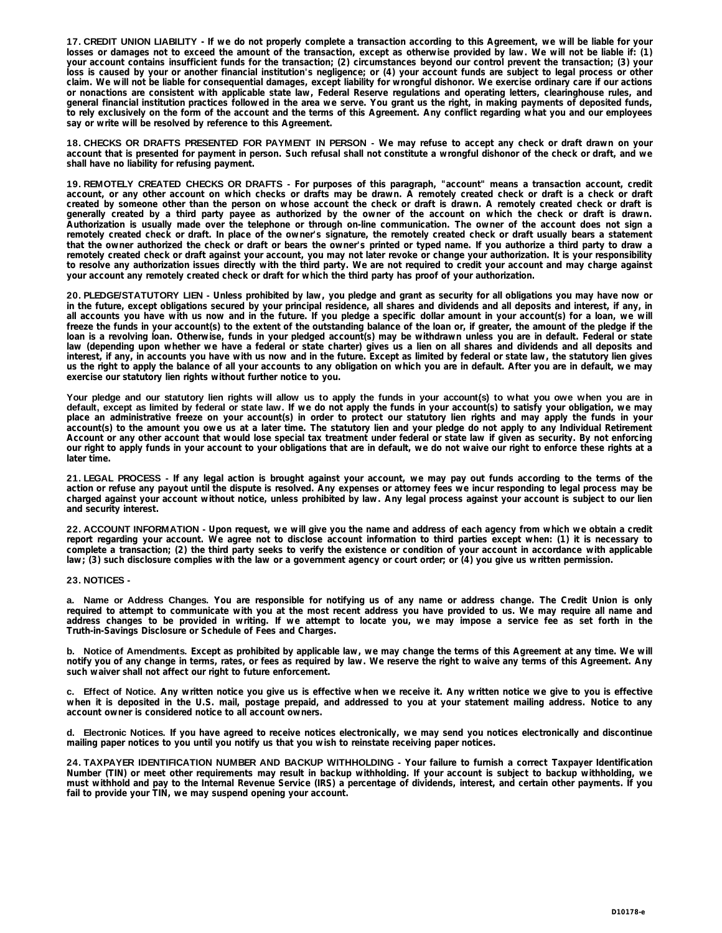17. CREDIT UNION LIABILITY - If we do not properly complete a transaction according to this Agreement, we will be liable for your losses or damages not to exceed the amount of the transaction, except as otherwise provided by law. We will not be liable if: (1) your account contains insufficient funds for the transaction; (2) circumstances beyond our control prevent the transaction; (3) your loss is caused by your or another financial institution's negligence; or (4) your account funds are subject to legal process or other claim. We will not be liable for consequential damages, except liability for wrongful dishonor. We exercise ordinary care if our actions or nonactions are consistent with applicable state law, Federal Reserve regulations and operating letters, clearinghouse rules, and general financial institution practices followed in the area we serve. You grant us the right, in making payments of deposited funds, to rely exclusively on the form of the account and the terms of this Agreement. Any conflict regarding what you and our employees **say or write will be resolved by reference to this Agreement.**

18. CHECKS OR DRAFTS PRESENTED FOR PAYMENT IN PERSON - We may refuse to accept any check or draft drawn on your account that is presented for payment in person. Such refusal shall not constitute a wrongful dishonor of the check or draft, and we **shall have no liability for refusing payment.**

19. REMOTELY CREATED CHECKS OR DRAFTS - For purposes of this paragraph, "account" means a transaction account, credit account, or any other account on which checks or drafts may be drawn. A remotely created check or draft is a check or draft created by someone other than the person on whose account the check or draft is drawn. A remotely created check or draft is generally created by a third party payee as authorized by the owner of the account on which the check or draft is drawn. Authorization is usually made over the telephone or through on-line communication. The owner of the account does not sign a remotely created check or draft. In place of the owner's signature, the remotely created check or draft usually bears a statement that the owner authorized the check or draft or bears the owner's printed or typed name. If you authorize a third party to draw a remotely created check or draft against your account, you may not later revoke or change your authorization. It is your responsibility to resolve any authorization issues directly with the third party. We are not required to credit your account and may charge against **your account any remotely created check or draft for which the third party has proof of your authorization.**

20. PLEDGE/STATUTORY LIEN - Unless prohibited by law, you pledge and grant as security for all obligations you may have now or in the future, except obligations secured by your principal residence, all shares and dividends and all deposits and interest, if any, in all accounts you have with us now and in the future. If you pledge a specific dollar amount in your account(s) for a loan, we will freeze the funds in your account(s) to the extent of the outstanding balance of the loan or, if greater, the amount of the pledge if the loan is a revolving loan. Otherwise, funds in your pledged account(s) may be withdrawn unless you are in default. Federal or state law (depending upon whether we have a federal or state charter) gives us a lien on all shares and dividends and all deposits and interest, if any, in accounts you have with us now and in the future. Except as limited by federal or state law, the statutory lien gives us the right to apply the balance of all your accounts to any obligation on which you are in default. After you are in default, we may **exercise our statutory lien rights without further notice to you.**

Your pledge and our statutory lien rights will allow us to apply the funds in your account(s) to what you owe when you are in default, except as limited by federal or state law. If we do not apply the funds in your account(s) to satisfy your obligation, we may place an administrative freeze on your account(s) in order to protect our statutory lien rights and may apply the funds in your account(s) to the amount you owe us at a later time. The statutory lien and your pledge do not apply to any Individual Retirement Account or any other account that would lose special tax treatment under federal or state law if given as security. By not enforcing our right to apply funds in your account to your obligations that are in default, we do not waive our right to enforce these rights at a **later time.**

21. LEGAL PROCESS - If any legal action is brought against your account, we may pay out funds according to the terms of the action or refuse any payout until the dispute is resolved. Any expenses or attorney fees we incur responding to legal process may be charged against your account without notice, unless prohibited by law. Any legal process against your account is subject to our lien **and security interest.**

22. ACCOUNT INFORMATION - Upon request, we will give you the name and address of each agency from which we obtain a credit report regarding your account. We agree not to disclose account information to third parties except when: (1) it is necessary to complete a transaction; (2) the third party seeks to verify the existence or condition of your account in accordance with applicable **law; (3) such disclosure complies with the law or a government agency or court order; or (4) you give us written permission.**

#### **23. NOTICES -**

a. Name or Address Changes. You are responsible for notifying us of any name or address change. The Credit Union is only required to attempt to communicate with you at the most recent address you have provided to us. We may require all name and address changes to be provided in writing. If we attempt to locate you, we may impose a service fee as set forth in the **Truth-in-Savings Disclosure or Schedule of Fees and Charges.**

b. Notice of Amendments. Except as prohibited by applicable law, we may change the terms of this Agreement at any time. We will notify you of any change in terms, rates, or fees as required by law. We reserve the right to waive any terms of this Agreement. Any **such waiver shall not affect our right to future enforcement.**

c. Effect of Notice. Any written notice you give us is effective when we receive it. Any written notice we give to you is effective when it is deposited in the U.S. mail, postage prepaid, and addressed to you at your statement mailing address. Notice to any **account owner is considered notice to all account owners.**

d. Electronic Notices. If you have agreed to receive notices electronically, we may send you notices electronically and discontinue **mailing paper notices to you until you notify us that you wish to reinstate receiving paper notices.**

24. TAXPAYER IDENTIFICATION NUMBER AND BACKUP WITHHOLDING - Your failure to furnish a correct Taxpayer Identification Number (TIN) or meet other requirements may result in backup withholding. If your account is subject to backup withholding, we must withhold and pay to the Internal Revenue Service (IRS) a percentage of dividends, interest, and certain other payments. If you **fail to provide your TIN, we may suspend opening your account.**